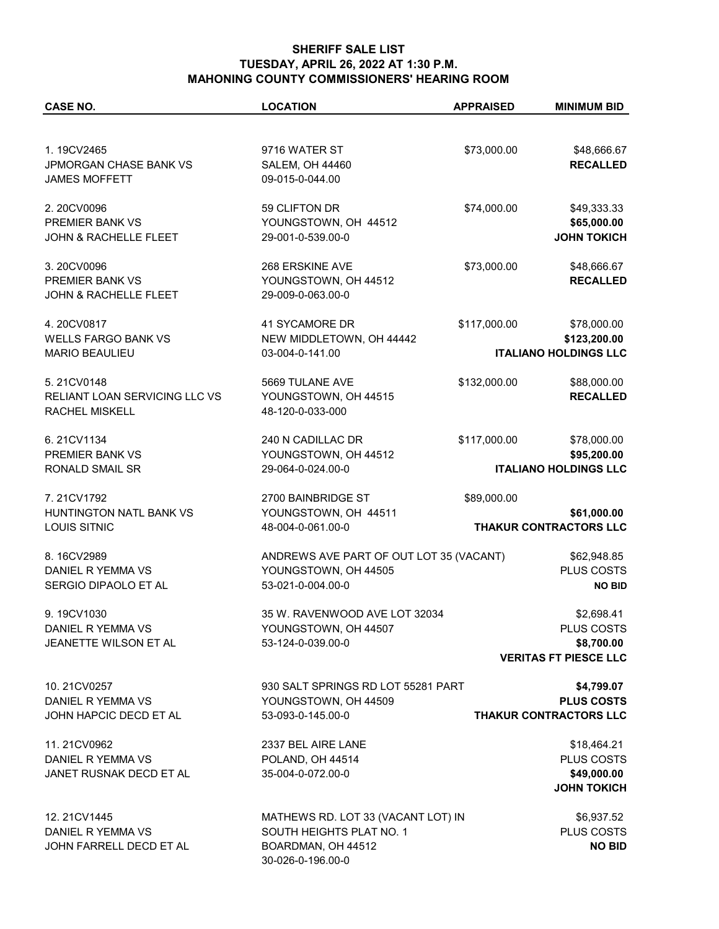## **SHERIFF SALE LIST TUESDAY, APRIL 26, 2022 AT 1:30 P.M. MAHONING COUNTY COMMISSIONERS' HEARING ROOM**

| <b>CASE NO.</b>                      | <b>LOCATION</b>                         | <b>APPRAISED</b> | <b>MINIMUM BID</b>            |
|--------------------------------------|-----------------------------------------|------------------|-------------------------------|
|                                      |                                         |                  |                               |
| 1.19CV2465                           | 9716 WATER ST                           | \$73,000.00      | \$48,666.67                   |
| <b>JPMORGAN CHASE BANK VS</b>        | <b>SALEM, OH 44460</b>                  |                  | <b>RECALLED</b>               |
| <b>JAMES MOFFETT</b>                 | 09-015-0-044.00                         |                  |                               |
|                                      |                                         |                  |                               |
| 2.20CV0096                           | 59 CLIFTON DR                           | \$74,000.00      | \$49,333.33                   |
| <b>PREMIER BANK VS</b>               | YOUNGSTOWN, OH 44512                    |                  | \$65,000.00                   |
| <b>JOHN &amp; RACHELLE FLEET</b>     | 29-001-0-539.00-0                       |                  | <b>JOHN TOKICH</b>            |
|                                      |                                         |                  |                               |
| 3.20CV0096                           | 268 ERSKINE AVE                         | \$73,000.00      | \$48,666.67                   |
| <b>PREMIER BANK VS</b>               | YOUNGSTOWN, OH 44512                    |                  | <b>RECALLED</b>               |
| <b>JOHN &amp; RACHELLE FLEET</b>     | 29-009-0-063.00-0                       |                  |                               |
|                                      |                                         |                  |                               |
| 4.20CV0817                           | 41 SYCAMORE DR                          | \$117,000.00     | \$78,000.00                   |
| <b>WELLS FARGO BANK VS</b>           | NEW MIDDLETOWN, OH 44442                |                  | \$123,200.00                  |
| <b>MARIO BEAULIEU</b>                | 03-004-0-141.00                         |                  | <b>ITALIANO HOLDINGS LLC</b>  |
|                                      |                                         |                  |                               |
| 5.21CV0148                           | 5669 TULANE AVE                         | \$132,000.00     | \$88,000.00                   |
| <b>RELIANT LOAN SERVICING LLC VS</b> | YOUNGSTOWN, OH 44515                    |                  | <b>RECALLED</b>               |
| <b>RACHEL MISKELL</b>                | 48-120-0-033-000                        |                  |                               |
| 6.21CV1134                           | 240 N CADILLAC DR                       | \$117,000.00     | \$78,000.00                   |
| PREMIER BANK VS                      | YOUNGSTOWN, OH 44512                    |                  | \$95,200.00                   |
| RONALD SMAIL SR                      | 29-064-0-024.00-0                       |                  | <b>ITALIANO HOLDINGS LLC</b>  |
|                                      |                                         |                  |                               |
| 7.21CV1792                           | 2700 BAINBRIDGE ST                      | \$89,000.00      |                               |
| HUNTINGTON NATL BANK VS              | YOUNGSTOWN, OH 44511                    |                  | \$61,000.00                   |
| <b>LOUIS SITNIC</b>                  | 48-004-0-061.00-0                       |                  | THAKUR CONTRACTORS LLC        |
|                                      |                                         |                  |                               |
| 8.16CV2989                           | ANDREWS AVE PART OF OUT LOT 35 (VACANT) |                  | \$62,948.85                   |
| DANIEL R YEMMA VS                    | YOUNGSTOWN, OH 44505                    |                  | PLUS COSTS                    |
| SERGIO DIPAOLO ET AL                 | 53-021-0-004.00-0                       |                  | <b>NO BID</b>                 |
| 9.19CV1030                           | 35 W. RAVENWOOD AVE LOT 32034           |                  | \$2,698.41                    |
| DANIEL R YEMMA VS                    | YOUNGSTOWN, OH 44507                    |                  | PLUS COSTS                    |
| <b>JEANETTE WILSON ET AL</b>         | 53-124-0-039.00-0                       |                  | \$8,700.00                    |
|                                      |                                         |                  | <b>VERITAS FT PIESCE LLC</b>  |
|                                      |                                         |                  |                               |
| 10.21CV0257                          | 930 SALT SPRINGS RD LOT 55281 PART      |                  | \$4,799.07                    |
| DANIEL R YEMMA VS                    | YOUNGSTOWN, OH 44509                    |                  | <b>PLUS COSTS</b>             |
| JOHN HAPCIC DECD ET AL               | 53-093-0-145.00-0                       |                  | <b>THAKUR CONTRACTORS LLC</b> |
|                                      |                                         |                  |                               |
| 11.21CV0962                          | 2337 BEL AIRE LANE                      |                  | \$18,464.21                   |
| DANIEL R YEMMA VS                    | POLAND, OH 44514                        |                  | PLUS COSTS                    |
| JANET RUSNAK DECD ET AL              | 35-004-0-072.00-0                       |                  | \$49,000.00                   |
|                                      |                                         |                  | <b>JOHN TOKICH</b>            |
| 12.21CV1445                          | MATHEWS RD. LOT 33 (VACANT LOT) IN      |                  | \$6,937.52                    |
| DANIEL R YEMMA VS                    | SOUTH HEIGHTS PLAT NO. 1                |                  | PLUS COSTS                    |
| JOHN FARRELL DECD ET AL              | BOARDMAN, OH 44512                      |                  | <b>NO BID</b>                 |

30-026-0-196.00-0